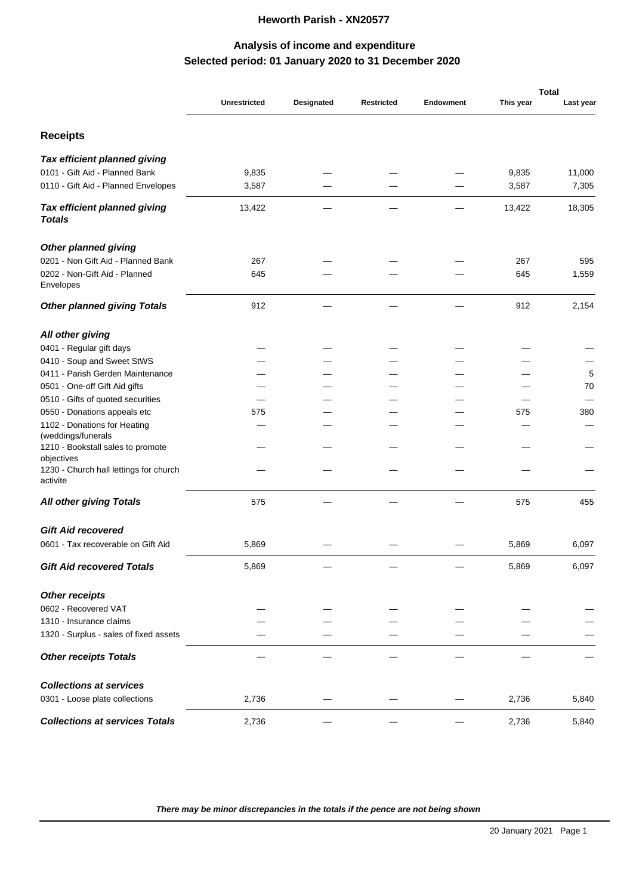## **Heworth Parish - XN20577**

## **Selected period: 01 January 2020 to 31 December 2020 Analysis of income and expenditure**

|                                                         |                     |            |                   |                  | <b>Total</b> |           |  |
|---------------------------------------------------------|---------------------|------------|-------------------|------------------|--------------|-----------|--|
|                                                         | <b>Unrestricted</b> | Designated | <b>Restricted</b> | <b>Endowment</b> | This year    | Last year |  |
| <b>Receipts</b>                                         |                     |            |                   |                  |              |           |  |
| Tax efficient planned giving                            |                     |            |                   |                  |              |           |  |
| 0101 - Gift Aid - Planned Bank                          | 9,835               |            |                   |                  | 9,835        | 11,000    |  |
| 0110 - Gift Aid - Planned Envelopes                     | 3,587               |            |                   |                  | 3,587        | 7,305     |  |
| Tax efficient planned giving<br>Totals                  | 13,422              |            |                   |                  | 13,422       | 18,305    |  |
| Other planned giving                                    |                     |            |                   |                  |              |           |  |
| 0201 - Non Gift Aid - Planned Bank                      | 267                 |            |                   |                  | 267          | 595       |  |
| 0202 - Non-Gift Aid - Planned<br>Envelopes              | 645                 |            |                   |                  | 645          | 1,559     |  |
| Other planned giving Totals                             | 912                 |            |                   |                  | 912          | 2,154     |  |
| All other giving                                        |                     |            |                   |                  |              |           |  |
| 0401 - Regular gift days                                |                     |            |                   |                  |              |           |  |
| 0410 - Soup and Sweet StWS                              |                     |            |                   |                  |              |           |  |
| 0411 - Parish Gerden Maintenance                        |                     |            |                   |                  |              | 5         |  |
| 0501 - One-off Gift Aid gifts                           |                     |            |                   |                  |              | 70        |  |
| 0510 - Gifts of quoted securities                       |                     |            |                   |                  |              |           |  |
| 0550 - Donations appeals etc                            | 575                 |            |                   |                  | 575          | 380       |  |
| 1102 - Donations for Heating                            |                     |            |                   |                  |              |           |  |
| (weddings/funerals<br>1210 - Bookstall sales to promote |                     |            |                   |                  |              |           |  |
| objectives                                              |                     |            |                   |                  |              |           |  |
| 1230 - Church hall lettings for church<br>activite      |                     |            |                   |                  |              |           |  |
| All other giving Totals                                 | 575                 |            |                   |                  | 575          | 455       |  |
| <b>Gift Aid recovered</b>                               |                     |            |                   |                  |              |           |  |
| 0601 - Tax recoverable on Gift Aid                      | 5,869               |            |                   |                  | 5,869        | 6,097     |  |
| Gift Aid recovered Totals                               | 5,869               |            |                   |                  | 5,869        | 6,097     |  |
| Other receipts                                          |                     |            |                   |                  |              |           |  |
| 0602 - Recovered VAT                                    |                     |            |                   |                  |              |           |  |
| 1310 - Insurance claims                                 |                     |            |                   |                  |              |           |  |
| 1320 - Surplus - sales of fixed assets                  |                     |            |                   |                  |              |           |  |
| <b>Other receipts Totals</b>                            |                     |            |                   |                  |              |           |  |
| Collections at services                                 |                     |            |                   |                  |              |           |  |
| 0301 - Loose plate collections                          | 2,736               |            |                   |                  | 2,736        | 5,840     |  |
| Collections at services Totals                          | 2,736               |            |                   |                  | 2,736        | 5,840     |  |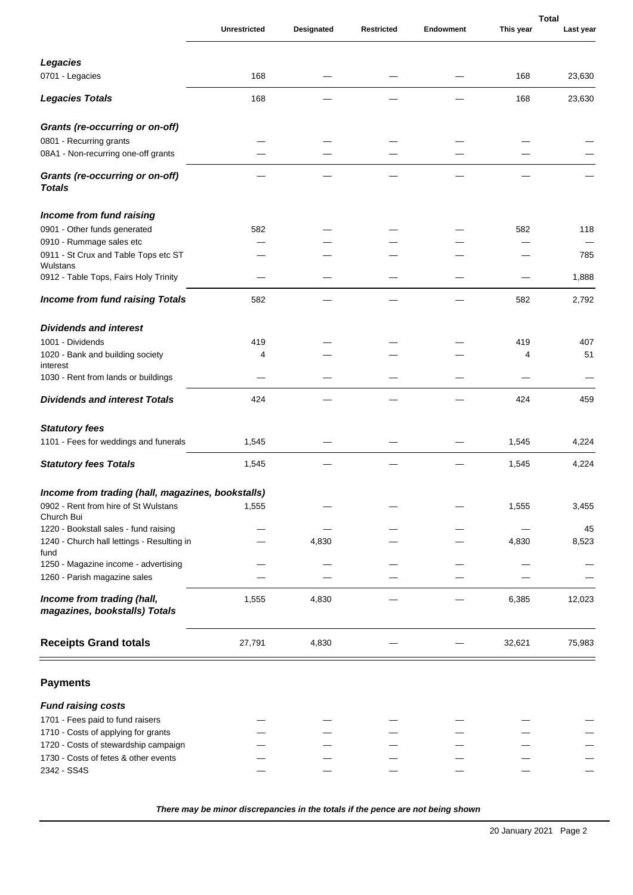|                                                             |                     |            |                   |           |           | <b>Total</b> |
|-------------------------------------------------------------|---------------------|------------|-------------------|-----------|-----------|--------------|
|                                                             | <b>Unrestricted</b> | Designated | <b>Restricted</b> | Endowment | This year | Last year    |
| Legacies                                                    |                     |            |                   |           |           |              |
| 0701 - Legacies                                             | 168                 |            |                   |           | 168       | 23,630       |
|                                                             |                     |            |                   |           |           |              |
| Legacies Totals                                             | 168                 |            |                   |           | 168       | 23,630       |
| Grants (re-occurring or on-off)                             |                     |            |                   |           |           |              |
| 0801 - Recurring grants                                     |                     |            |                   |           |           |              |
| 08A1 - Non-recurring one-off grants                         |                     |            |                   |           |           |              |
| Grants (re-occurring or on-off)<br>Totals                   |                     |            |                   |           |           |              |
| Income from fund raising                                    |                     |            |                   |           |           |              |
| 0901 - Other funds generated                                | 582                 |            |                   |           | 582       | 118          |
| 0910 - Rummage sales etc                                    |                     |            |                   |           |           |              |
| 0911 - St Crux and Table Tops etc ST<br>Wulstans            |                     |            |                   |           |           | 785          |
| 0912 - Table Tops, Fairs Holy Trinity                       |                     |            |                   |           |           | 1,888        |
| Income from fund raising Totals                             | 582                 |            |                   |           | 582       | 2,792        |
| Dividends and interest                                      |                     |            |                   |           |           |              |
| 1001 - Dividends                                            | 419                 |            |                   |           | 419       | 407          |
| 1020 - Bank and building society<br>interest                | 4                   |            |                   |           | 4         | 51           |
| 1030 - Rent from lands or buildings                         |                     |            |                   |           |           |              |
| Dividends and interest Totals                               | 424                 |            |                   |           | 424       | 459          |
| Statutory fees                                              |                     |            |                   |           |           |              |
| 1101 - Fees for weddings and funerals                       | 1,545               |            |                   |           | 1,545     | 4,224        |
| <b>Statutory fees Totals</b>                                | 1,545               |            |                   |           | 1,545     | 4,224        |
| Income from trading (hall, magazines, bookstalls)           |                     |            |                   |           |           |              |
| 0902 - Rent from hire of St Wulstans<br>Church Bui          | 1,555               |            |                   |           | 1,555     | 3,455        |
| 1220 - Bookstall sales - fund raising                       |                     |            |                   |           |           | 45           |
| 1240 - Church hall lettings - Resulting in                  |                     | 4,830      |                   |           | 4,830     | 8,523        |
| fund<br>1250 - Magazine income - advertising                |                     |            |                   |           |           |              |
| 1260 - Parish magazine sales                                |                     |            |                   |           |           |              |
| Income from trading (hall,<br>magazines, bookstalls) Totals | 1,555               | 4,830      |                   |           | 6,385     | 12,023       |
| <b>Receipts Grand totals</b>                                | 27,791              | 4,830      |                   |           | 32,621    | 75,983       |
| <b>Payments</b>                                             |                     |            |                   |           |           |              |
| Fund raising costs                                          |                     |            |                   |           |           |              |
| 1701 - Fees paid to fund raisers                            |                     |            |                   |           |           |              |
| 1710 - Costs of applying for grants                         |                     |            |                   |           |           |              |
| 1720 - Costs of stewardship campaign                        |                     |            |                   |           |           |              |
| 1730 - Costs of fetes & other events                        |                     |            |                   |           |           |              |
| 2342 - SS4S                                                 |                     |            |                   |           |           |              |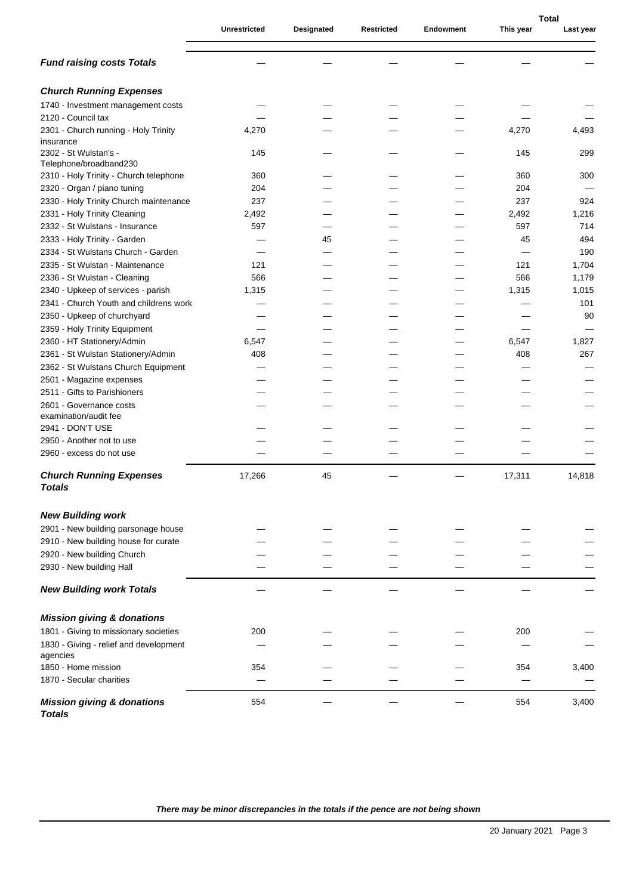|                                                    |                     |            |                   |           | <b>Total</b> |           |
|----------------------------------------------------|---------------------|------------|-------------------|-----------|--------------|-----------|
|                                                    | <b>Unrestricted</b> | Designated | <b>Restricted</b> | Endowment | This year    | Last year |
| Fund raising costs Totals                          |                     |            |                   |           |              |           |
| <b>Church Running Expenses</b>                     |                     |            |                   |           |              |           |
| 1740 - Investment management costs                 |                     |            |                   |           |              |           |
| 2120 - Council tax                                 |                     |            |                   |           |              |           |
| 2301 - Church running - Holy Trinity               | 4,270               |            |                   |           | 4,270        | 4,493     |
| insurance                                          |                     |            |                   |           |              |           |
| 2302 - St Wulstan's -                              | 145                 |            |                   |           | 145          | 299       |
| Telephone/broadband230                             |                     |            |                   |           |              |           |
| 2310 - Holy Trinity - Church telephone             | 360                 |            |                   |           | 360          | 300       |
| 2320 - Organ / piano tuning                        | 204                 |            |                   |           | 204          |           |
| 2330 - Holy Trinity Church maintenance             | 237                 |            |                   |           | 237          | 924       |
| 2331 - Holy Trinity Cleaning                       | 2,492               |            |                   |           | 2,492        | 1,216     |
| 2332 - St Wulstans - Insurance                     | 597                 |            |                   |           | 597          | 714       |
| 2333 - Holy Trinity - Garden                       |                     | 45         |                   |           | 45           | 494       |
| 2334 - St Wulstans Church - Garden                 |                     |            |                   |           |              | 190       |
| 2335 - St Wulstan - Maintenance                    | 121                 |            |                   |           | 121          | 1,704     |
| 2336 - St Wulstan - Cleaning                       | 566                 |            |                   |           | 566          | 1,179     |
| 2340 - Upkeep of services - parish                 | 1,315               |            |                   |           | 1,315        | 1,015     |
| 2341 - Church Youth and childrens work             |                     |            |                   |           |              | 101       |
| 2350 - Upkeep of churchyard                        |                     |            |                   |           |              | 90        |
| 2359 - Holy Trinity Equipment                      |                     |            |                   |           |              |           |
| 2360 - HT Stationery/Admin                         | 6,547               |            |                   |           | 6,547        | 1,827     |
| 2361 - St Wulstan Stationery/Admin                 | 408                 |            |                   |           | 408          | 267       |
| 2362 - St Wulstans Church Equipment                |                     |            |                   |           |              |           |
| 2501 - Magazine expenses                           |                     |            |                   |           |              |           |
| 2511 - Gifts to Parishioners                       |                     |            |                   |           |              |           |
| 2601 - Governance costs                            |                     |            |                   |           |              |           |
| examination/audit fee<br>2941 - DON'T USE          |                     |            |                   |           |              |           |
| 2950 - Another not to use                          |                     |            |                   |           |              |           |
| 2960 - excess do not use                           |                     |            |                   |           |              |           |
|                                                    |                     |            |                   |           |              |           |
| <b>Church Running Expenses</b><br>Totals           | 17,266              | 45         |                   |           | 17,311       | 14,818    |
| New Building work                                  |                     |            |                   |           |              |           |
| 2901 - New building parsonage house                |                     |            |                   |           |              |           |
| 2910 - New building house for curate               |                     |            |                   |           |              |           |
| 2920 - New building Church                         |                     |            |                   |           |              |           |
| 2930 - New building Hall                           |                     |            |                   |           |              |           |
| New Building work Totals                           |                     |            |                   |           |              |           |
|                                                    |                     |            |                   |           |              |           |
| Mission giving & donations                         |                     |            |                   |           |              |           |
| 1801 - Giving to missionary societies              | 200                 |            |                   |           | 200          |           |
| 1830 - Giving - relief and development<br>agencies |                     |            |                   |           |              |           |
| 1850 - Home mission                                | 354                 |            |                   |           | 354          | 3,400     |
| 1870 - Secular charities                           |                     |            |                   |           |              |           |
|                                                    |                     |            |                   |           |              |           |
| Mission giving & donations<br>Totals               | 554                 |            |                   |           | 554          | 3,400     |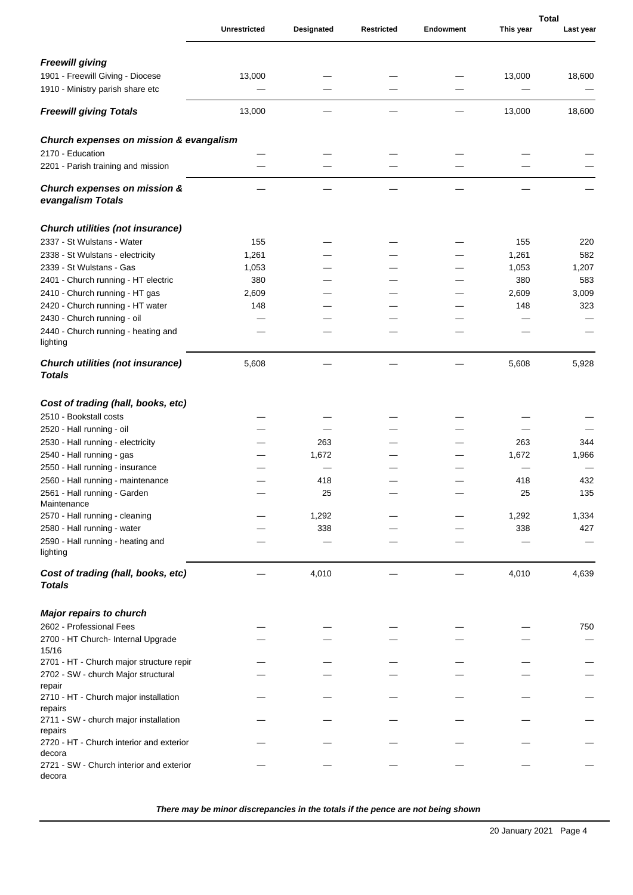|                                                    |                     |            |                   |                  | <b>Total</b> |           |
|----------------------------------------------------|---------------------|------------|-------------------|------------------|--------------|-----------|
|                                                    | <b>Unrestricted</b> | Designated | <b>Restricted</b> | <b>Endowment</b> | This year    | Last year |
| Freewill giving                                    |                     |            |                   |                  |              |           |
| 1901 - Freewill Giving - Diocese                   | 13,000              |            |                   |                  | 13,000       | 18,600    |
| 1910 - Ministry parish share etc                   |                     |            |                   |                  |              |           |
| Freewill giving Totals                             | 13,000              |            |                   |                  | 13,000       | 18,600    |
| Church expenses on mission & evangalism            |                     |            |                   |                  |              |           |
| 2170 - Education                                   |                     |            |                   |                  |              |           |
| 2201 - Parish training and mission                 |                     |            |                   |                  |              |           |
| Church expenses on mission &<br>evangalism Totals  |                     |            |                   |                  |              |           |
| Church utilities (not insurance)                   |                     |            |                   |                  |              |           |
| 2337 - St Wulstans - Water                         | 155                 |            |                   |                  | 155          | 220       |
| 2338 - St Wulstans - electricity                   | 1,261               |            |                   |                  | 1,261        | 582       |
| 2339 - St Wulstans - Gas                           | 1,053               |            |                   |                  | 1,053        | 1,207     |
| 2401 - Church running - HT electric                | 380                 |            |                   |                  | 380          | 583       |
| 2410 - Church running - HT gas                     | 2,609               |            |                   |                  | 2,609        | 3,009     |
| 2420 - Church running - HT water                   | 148                 |            |                   |                  | 148          | 323       |
| 2430 - Church running - oil                        |                     |            |                   |                  |              |           |
| 2440 - Church running - heating and<br>lighting    |                     |            |                   |                  |              |           |
| Church utilities (not insurance)<br>Totals         | 5,608               |            |                   |                  | 5,608        | 5,928     |
| Cost of trading (hall, books, etc)                 |                     |            |                   |                  |              |           |
| 2510 - Bookstall costs                             |                     |            |                   |                  |              |           |
| 2520 - Hall running - oil                          |                     |            |                   |                  |              |           |
| 2530 - Hall running - electricity                  |                     | 263        |                   |                  | 263          | 344       |
| 2540 - Hall running - gas                          |                     | 1,672      |                   |                  | 1,672        | 1,966     |
| 2550 - Hall running - insurance                    |                     |            |                   |                  |              |           |
|                                                    |                     |            |                   |                  |              |           |
| 2560 - Hall running - maintenance                  |                     | 418        |                   |                  | 418          | 432       |
| 2561 - Hall running - Garden<br>Maintenance        |                     | 25         |                   |                  | 25           | 135       |
| 2570 - Hall running - cleaning                     |                     | 1,292      |                   |                  | 1,292        | 1,334     |
| 2580 - Hall running - water                        |                     | 338        |                   |                  | 338          | 427       |
| 2590 - Hall running - heating and                  |                     |            |                   |                  |              |           |
| lighting                                           |                     |            |                   |                  |              |           |
| Cost of trading (hall, books, etc)<br>Totals       |                     | 4,010      |                   |                  | 4,010        | 4,639     |
| Major repairs to church                            |                     |            |                   |                  |              |           |
| 2602 - Professional Fees                           |                     |            |                   |                  |              | 750       |
| 2700 - HT Church- Internal Upgrade                 |                     |            |                   |                  |              |           |
| 15/16                                              |                     |            |                   |                  |              |           |
| 2701 - HT - Church major structure repir           |                     |            |                   |                  |              |           |
| 2702 - SW - church Major structural<br>repair      |                     |            |                   |                  |              |           |
| 2710 - HT - Church major installation<br>repairs   |                     |            |                   |                  |              |           |
| 2711 - SW - church major installation<br>repairs   |                     |            |                   |                  |              |           |
| 2720 - HT - Church interior and exterior<br>decora |                     |            |                   |                  |              |           |
| 2721 - SW - Church interior and exterior<br>decora |                     |            |                   |                  |              |           |